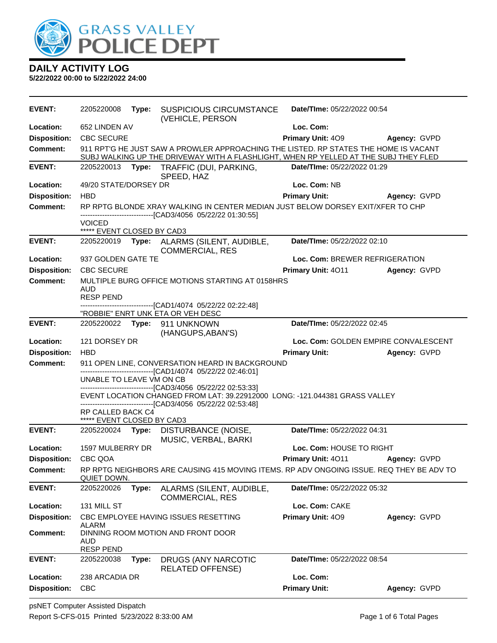

| <b>EVENT:</b>       | 2205220008                                                                                                                                                                   | Type: | <b>SUSPICIOUS CIRCUMSTANCE</b><br>(VEHICLE, PERSON                                                                               | Date/TIme: 05/22/2022 00:54          |              |
|---------------------|------------------------------------------------------------------------------------------------------------------------------------------------------------------------------|-------|----------------------------------------------------------------------------------------------------------------------------------|--------------------------------------|--------------|
| Location:           | 652 LINDEN AV                                                                                                                                                                |       |                                                                                                                                  | Loc. Com:                            |              |
| <b>Disposition:</b> | <b>CBC SECURE</b>                                                                                                                                                            |       |                                                                                                                                  | Primary Unit: 409                    | Agency: GVPD |
| Comment:            | 911 RPT'G HE JUST SAW A PROWLER APPROACHING THE LISTED. RP STATES THE HOME IS VACANT<br>SUBJ WALKING UP THE DRIVEWAY WITH A FLASHLIGHT, WHEN RP YELLED AT THE SUBJ THEY FLED |       |                                                                                                                                  |                                      |              |
| <b>EVENT:</b>       | 2205220013<br>Type: TRAFFIC (DUI, PARKING,<br>Date/TIme: 05/22/2022 01:29<br>SPEED, HAZ                                                                                      |       |                                                                                                                                  |                                      |              |
| Location:           | 49/20 STATE/DORSEY DR                                                                                                                                                        |       |                                                                                                                                  | Loc. Com: NB                         |              |
| <b>Disposition:</b> | <b>HBD</b>                                                                                                                                                                   |       |                                                                                                                                  | <b>Primary Unit:</b>                 | Agency: GVPD |
| <b>Comment:</b>     |                                                                                                                                                                              |       | RP RPTG BLONDE XRAY WALKING IN CENTER MEDIAN JUST BELOW DORSEY EXIT/XFER TO CHP                                                  |                                      |              |
|                     | <b>VOICED</b><br>***** EVENT CLOSED BY CAD3                                                                                                                                  |       | ---------------------[CAD3/4056_05/22/22_01:30:55]                                                                               |                                      |              |
| <b>EVENT:</b>       | 2205220019                                                                                                                                                                   |       | Type: ALARMS (SILENT, AUDIBLE,                                                                                                   | Date/TIme: 05/22/2022 02:10          |              |
|                     |                                                                                                                                                                              |       | <b>COMMERCIAL, RES</b>                                                                                                           |                                      |              |
| Location:           | 937 GOLDEN GATE TE                                                                                                                                                           |       |                                                                                                                                  | Loc. Com: BREWER REFRIGERATION       |              |
| <b>Disposition:</b> | <b>CBC SECURE</b>                                                                                                                                                            |       |                                                                                                                                  | Primary Unit: 4011                   | Agency: GVPD |
| <b>Comment:</b>     | <b>AUD</b>                                                                                                                                                                   |       | MULTIPLE BURG OFFICE MOTIONS STARTING AT 0158HRS                                                                                 |                                      |              |
|                     | <b>RESP PEND</b>                                                                                                                                                             |       | -------------------------------[CAD1/4074_05/22/22_02:22:48]                                                                     |                                      |              |
|                     |                                                                                                                                                                              |       | "ROBBIE" ENRT UNK ETA OR VEH DESC                                                                                                |                                      |              |
| <b>EVENT:</b>       |                                                                                                                                                                              |       | 2205220022 Type: 911 UNKNOWN<br>(HANGUPS, ABAN'S)                                                                                | Date/TIme: 05/22/2022 02:45          |              |
| Location:           | 121 DORSEY DR                                                                                                                                                                |       |                                                                                                                                  | Loc. Com: GOLDEN EMPIRE CONVALESCENT |              |
|                     |                                                                                                                                                                              |       |                                                                                                                                  |                                      |              |
| <b>Disposition:</b> | <b>HBD</b>                                                                                                                                                                   |       |                                                                                                                                  | <b>Primary Unit:</b>                 | Agency: GVPD |
| <b>Comment:</b>     |                                                                                                                                                                              |       | 911 OPEN LINE, CONVERSATION HEARD IN BACKGROUND                                                                                  |                                      |              |
|                     | UNABLE TO LEAVE VM ON CB                                                                                                                                                     |       | -------------------------------[CAD1/4074 05/22/22 02:46:01]                                                                     |                                      |              |
|                     |                                                                                                                                                                              |       | --------------------[CAD3/4056 05/22/22 02:53:33]<br>EVENT LOCATION CHANGED FROM LAT: 39.22912000 LONG: -121.044381 GRASS VALLEY |                                      |              |
|                     | RP CALLED BACK C4<br>***** EVENT CLOSED BY CAD3                                                                                                                              |       | -------------------------------[CAD3/4056 05/22/22 02:53:48]                                                                     |                                      |              |
| <b>EVENT:</b>       | 2205220024                                                                                                                                                                   |       | Type: DISTURBANCE (NOISE,                                                                                                        | Date/TIme: 05/22/2022 04:31          |              |
| Location:           | 1597 MULBERRY DR                                                                                                                                                             |       | MUSIC, VERBAL, BARKI                                                                                                             | Loc. Com: HOUSE TO RIGHT             |              |
| <b>Disposition:</b> | CBC QOA                                                                                                                                                                      |       |                                                                                                                                  | Primary Unit: 4011                   | Agency: GVPD |
| <b>Comment:</b>     | QUIET DOWN.                                                                                                                                                                  |       | RP RPTG NEIGHBORS ARE CAUSING 415 MOVING ITEMS. RP ADV ONGOING ISSUE. REQ THEY BE ADV TO                                         |                                      |              |
| <b>EVENT:</b>       | 2205220026                                                                                                                                                                   | Type: | ALARMS (SILENT, AUDIBLE,<br><b>COMMERCIAL, RES</b>                                                                               | Date/TIme: 05/22/2022 05:32          |              |
| Location:           | 131 MILL ST                                                                                                                                                                  |       |                                                                                                                                  | Loc. Com: CAKE                       |              |
| <b>Disposition:</b> | ALARM                                                                                                                                                                        |       | CBC EMPLOYEE HAVING ISSUES RESETTING                                                                                             | Primary Unit: 409                    | Agency: GVPD |
| <b>Comment:</b>     | <b>AUD</b><br><b>RESP PEND</b>                                                                                                                                               |       | DINNING ROOM MOTION AND FRONT DOOR                                                                                               |                                      |              |
| <b>EVENT:</b>       | 2205220038                                                                                                                                                                   | Type: | DRUGS (ANY NARCOTIC<br><b>RELATED OFFENSE)</b>                                                                                   | Date/TIme: 05/22/2022 08:54          |              |
| Location:           | 238 ARCADIA DR<br><b>CBC</b>                                                                                                                                                 |       |                                                                                                                                  | Loc. Com:<br><b>Primary Unit:</b>    |              |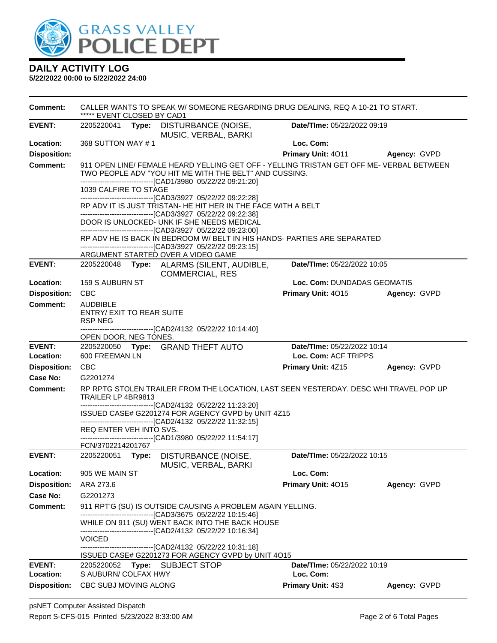

| <b>Comment:</b>            | ***** EVENT CLOSED BY CAD1                                                             |  |                                                                                                                                                                                     | CALLER WANTS TO SPEAK W/SOMEONE REGARDING DRUG DEALING, REQ A 10-21 TO START. |              |  |  |
|----------------------------|----------------------------------------------------------------------------------------|--|-------------------------------------------------------------------------------------------------------------------------------------------------------------------------------------|-------------------------------------------------------------------------------|--------------|--|--|
| <b>EVENT:</b>              |                                                                                        |  | 2205220041 Type: DISTURBANCE (NOISE,<br>MUSIC, VERBAL, BARKI                                                                                                                        | Date/TIme: 05/22/2022 09:19                                                   |              |  |  |
| Location:                  | 368 SUTTON WAY #1                                                                      |  |                                                                                                                                                                                     | Loc. Com:                                                                     |              |  |  |
| <b>Disposition:</b>        |                                                                                        |  |                                                                                                                                                                                     | <b>Primary Unit: 4011</b>                                                     | Agency: GVPD |  |  |
| <b>Comment:</b>            |                                                                                        |  | 911 OPEN LINE/ FEMALE HEARD YELLING GET OFF - YELLING TRISTAN GET OFF ME- VERBAL BETWEEN<br>TWO PEOPLE ADV "YOU HIT ME WITH THE BELT" AND CUSSING.                                  |                                                                               |              |  |  |
|                            | --------------------------------[CAD1/3980 05/22/22 09:21:20]<br>1039 CALFIRE TO STAGE |  |                                                                                                                                                                                     |                                                                               |              |  |  |
|                            | --------------------------------[CAD3/3927 05/22/22 09:22:28]                          |  |                                                                                                                                                                                     |                                                                               |              |  |  |
|                            |                                                                                        |  | RP ADV IT IS JUST TRISTAN- HE HIT HER IN THE FACE WITH A BELT<br>------------------------------[CAD3/3927 05/22/22 09:22:38]                                                        |                                                                               |              |  |  |
|                            |                                                                                        |  | DOOR IS UNLOCKED- UNK IF SHE NEEDS MEDICAL<br>--------------------------------[CAD3/3927 05/22/22 09:23:00]                                                                         |                                                                               |              |  |  |
|                            |                                                                                        |  | RP ADV HE IS BACK IN BEDROOM W/ BELT IN HIS HANDS- PARTIES ARE SEPARATED                                                                                                            |                                                                               |              |  |  |
|                            |                                                                                        |  | -------------------------------[CAD3/3927 05/22/22 09:23:15]<br>ARGUMENT STARTED OVER A VIDEO GAME                                                                                  |                                                                               |              |  |  |
| <b>EVENT:</b>              |                                                                                        |  | 2205220048 Type: ALARMS (SILENT, AUDIBLE,<br><b>COMMERCIAL, RES</b>                                                                                                                 | Date/TIme: 05/22/2022 10:05                                                   |              |  |  |
| Location:                  | 159 S AUBURN ST                                                                        |  |                                                                                                                                                                                     | Loc. Com: DUNDADAS GEOMATIS                                                   |              |  |  |
| <b>Disposition:</b>        | <b>CBC</b>                                                                             |  |                                                                                                                                                                                     | Primary Unit: 4015                                                            | Agency: GVPD |  |  |
| <b>Comment:</b>            | <b>AUDBIBLE</b><br><b>ENTRY/ EXIT TO REAR SUITE</b><br><b>RSP NEG</b>                  |  |                                                                                                                                                                                     |                                                                               |              |  |  |
|                            | OPEN DOOR, NEG TONES.                                                                  |  | -------------------------------[CAD2/4132_05/22/22_10:14:40]                                                                                                                        |                                                                               |              |  |  |
| <b>EVENT:</b><br>Location: | 600 FREEMAN LN                                                                         |  | 2205220050 Type: GRAND THEFT AUTO                                                                                                                                                   | Date/TIme: 05/22/2022 10:14<br>Loc. Com: ACF TRIPPS                           |              |  |  |
| <b>Disposition:</b>        | <b>CBC</b>                                                                             |  |                                                                                                                                                                                     | Primary Unit: 4Z15                                                            | Agency: GVPD |  |  |
| <b>Case No:</b>            | G2201274                                                                               |  |                                                                                                                                                                                     |                                                                               |              |  |  |
| <b>Comment:</b>            | TRAILER LP 4BR9813                                                                     |  | RP RPTG STOLEN TRAILER FROM THE LOCATION, LAST SEEN YESTERDAY. DESC WHI TRAVEL POP UP                                                                                               |                                                                               |              |  |  |
|                            |                                                                                        |  | -------------------------------[CAD2/4132 05/22/22 11:23:20]<br>ISSUED CASE# G2201274 FOR AGENCY GVPD by UNIT 4Z15<br>--------------------------------[CAD2/4132 05/22/22 11:32:15] |                                                                               |              |  |  |
|                            | REQ ENTER VEH INTO SVS.                                                                |  |                                                                                                                                                                                     |                                                                               |              |  |  |
|                            | FCN/3702214201767                                                                      |  | ------------------------------[CAD1/3980_05/22/22 11:54:17]                                                                                                                         |                                                                               |              |  |  |
| <b>EVENT:</b>              | 2205220051 Type:                                                                       |  | DISTURBANCE (NOISE,<br>MUSIC, VERBAL, BARKI                                                                                                                                         | Date/TIme: 05/22/2022 10:15                                                   |              |  |  |
| Location:                  | 905 WE MAIN ST                                                                         |  |                                                                                                                                                                                     | Loc. Com:                                                                     |              |  |  |
| <b>Disposition:</b>        | ARA 273.6                                                                              |  |                                                                                                                                                                                     | Primary Unit: 4015                                                            | Agency: GVPD |  |  |
| Case No:                   | G2201273                                                                               |  |                                                                                                                                                                                     |                                                                               |              |  |  |
| Comment:                   | 911 RPT'G (SU) IS OUTSIDE CAUSING A PROBLEM AGAIN YELLING.                             |  |                                                                                                                                                                                     |                                                                               |              |  |  |
|                            |                                                                                        |  | WHILE ON 911 (SU) WENT BACK INTO THE BACK HOUSE<br>--------------------------------[CAD2/4132 05/22/22 10:16:34]                                                                    |                                                                               |              |  |  |
|                            | <b>VOICED</b>                                                                          |  |                                                                                                                                                                                     |                                                                               |              |  |  |
|                            |                                                                                        |  | ------------------------[CAD2/4132_05/22/22_10:31:18]<br>ISSUED CASE# G2201273 FOR AGENCY GVPD by UNIT 4O15                                                                         |                                                                               |              |  |  |
| <b>EVENT:</b>              | 2205220052                                                                             |  | Type: SUBJECT STOP                                                                                                                                                                  | Date/TIme: 05/22/2022 10:19                                                   |              |  |  |
| Location:                  | S AUBURN/ COLFAX HWY                                                                   |  |                                                                                                                                                                                     | Loc. Com:                                                                     |              |  |  |
| <b>Disposition:</b>        | CBC SUBJ MOVING ALONG                                                                  |  |                                                                                                                                                                                     | <b>Primary Unit: 4S3</b>                                                      | Agency: GVPD |  |  |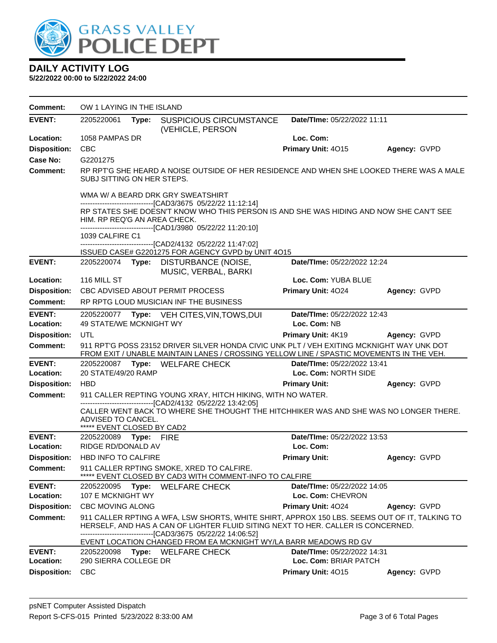

| Comment:                   | OW 1 LAYING IN THE ISLAND                                                                                                                                                                                                                                                                    |       |                                                                                                                                                                                       |                                                      |              |
|----------------------------|----------------------------------------------------------------------------------------------------------------------------------------------------------------------------------------------------------------------------------------------------------------------------------------------|-------|---------------------------------------------------------------------------------------------------------------------------------------------------------------------------------------|------------------------------------------------------|--------------|
| <b>EVENT:</b>              | 2205220061                                                                                                                                                                                                                                                                                   | Type: | <b>SUSPICIOUS CIRCUMSTANCE</b><br>(VEHICLE, PERSON                                                                                                                                    | Date/TIme: 05/22/2022 11:11                          |              |
| Location:                  | 1058 PAMPAS DR                                                                                                                                                                                                                                                                               |       |                                                                                                                                                                                       | Loc. Com:                                            |              |
| <b>Disposition:</b>        | <b>CBC</b>                                                                                                                                                                                                                                                                                   |       |                                                                                                                                                                                       | Primary Unit: 4015                                   | Agency: GVPD |
| Case No:                   | G2201275                                                                                                                                                                                                                                                                                     |       |                                                                                                                                                                                       |                                                      |              |
| Comment:                   | SUBJ SITTING ON HER STEPS.                                                                                                                                                                                                                                                                   |       | RP RPT'G SHE HEARD A NOISE OUTSIDE OF HER RESIDENCE AND WHEN SHE LOOKED THERE WAS A MALE                                                                                              |                                                      |              |
|                            | WMA W/ A BEARD DRK GRY SWEATSHIRT<br>--------------------------------[CAD3/3675 05/22/22 11:12:14]<br>RP STATES SHE DOESN'T KNOW WHO THIS PERSON IS AND SHE WAS HIDING AND NOW SHE CAN'T SEE<br>HIM. RP REQ'G AN AREA CHECK.<br>-------------------------------[CAD1/3980 05/22/22 11:20:10] |       |                                                                                                                                                                                       |                                                      |              |
|                            | 1039 CALFIRE C1                                                                                                                                                                                                                                                                              |       | -------------------------------[CAD2/4132 05/22/22 11:47:02]                                                                                                                          |                                                      |              |
|                            |                                                                                                                                                                                                                                                                                              |       | ISSUED CASE# G2201275 FOR AGENCY GVPD by UNIT 4O15                                                                                                                                    |                                                      |              |
| <b>EVENT:</b>              | 2205220074 Type:                                                                                                                                                                                                                                                                             |       | DISTURBANCE (NOISE,<br>MUSIC, VERBAL, BARKI                                                                                                                                           | Date/TIme: 05/22/2022 12:24                          |              |
| Location:                  | 116 MILL ST                                                                                                                                                                                                                                                                                  |       |                                                                                                                                                                                       | Loc. Com: YUBA BLUE                                  |              |
| <b>Disposition:</b>        |                                                                                                                                                                                                                                                                                              |       | CBC ADVISED ABOUT PERMIT PROCESS                                                                                                                                                      | Primary Unit: 4024                                   | Agency: GVPD |
| Comment:                   |                                                                                                                                                                                                                                                                                              |       | RP RPTG LOUD MUSICIAN INF THE BUSINESS                                                                                                                                                |                                                      |              |
| <b>EVENT:</b><br>Location: | 49 STATE/WE MCKNIGHT WY                                                                                                                                                                                                                                                                      |       | 2205220077 Type: VEH CITES, VIN, TOWS, DUI                                                                                                                                            | Date/TIme: 05/22/2022 12:43<br>Loc. Com: NB          |              |
| <b>Disposition:</b>        | UTL                                                                                                                                                                                                                                                                                          |       |                                                                                                                                                                                       | <b>Primary Unit: 4K19</b>                            | Agency: GVPD |
| <b>Comment:</b>            |                                                                                                                                                                                                                                                                                              |       | 911 RPT'G POSS 23152 DRIVER SILVER HONDA CIVIC UNK PLT / VEH EXITING MCKNIGHT WAY UNK DOT<br>FROM EXIT / UNABLE MAINTAIN LANES / CROSSING YELLOW LINE / SPASTIC MOVEMENTS IN THE VEH. |                                                      |              |
| <b>EVENT:</b>              |                                                                                                                                                                                                                                                                                              |       | 2205220087 Type: WELFARE CHECK                                                                                                                                                        | Date/TIme: 05/22/2022 13:41                          |              |
| Location:                  | 20 STATE/49/20 RAMP                                                                                                                                                                                                                                                                          |       |                                                                                                                                                                                       | Loc. Com: NORTH SIDE                                 |              |
| <b>Disposition:</b>        | <b>HBD</b>                                                                                                                                                                                                                                                                                   |       |                                                                                                                                                                                       | <b>Primary Unit:</b>                                 | Agency: GVPD |
| <b>Comment:</b>            |                                                                                                                                                                                                                                                                                              |       | 911 CALLER REPTING YOUNG XRAY, HITCH HIKING, WITH NO WATER.                                                                                                                           |                                                      |              |
|                            | -------------------------------[CAD2/4132_05/22/22_13:42:05]<br>CALLER WENT BACK TO WHERE SHE THOUGHT THE HITCHHIKER WAS AND SHE WAS NO LONGER THERE.<br>ADVISED TO CANCEL.<br>***** EVENT CLOSED BY CAD2                                                                                    |       |                                                                                                                                                                                       |                                                      |              |
| <b>EVENT:</b>              | 2205220089 Type: FIRE                                                                                                                                                                                                                                                                        |       |                                                                                                                                                                                       | Date/TIme: 05/22/2022 13:53                          |              |
| Location:                  | RIDGE RD/DONALD AV                                                                                                                                                                                                                                                                           |       |                                                                                                                                                                                       | Loc. Com:                                            |              |
| <b>Disposition:</b>        | <b>HBD INFO TO CALFIRE</b>                                                                                                                                                                                                                                                                   |       |                                                                                                                                                                                       | <b>Primary Unit:</b>                                 | Agency: GVPD |
| <b>Comment:</b>            | 911 CALLER RPTING SMOKE, XRED TO CALFIRE.<br>EVENT CLOSED BY CAD3 WITH COMMENT-INFO TO CALFIRE                                                                                                                                                                                               |       |                                                                                                                                                                                       |                                                      |              |
| <b>EVENT:</b>              | <b>WELFARE CHECK</b><br>Date/TIme: 05/22/2022 14:05<br>2205220095<br>Type:                                                                                                                                                                                                                   |       |                                                                                                                                                                                       |                                                      |              |
| Location:                  | 107 E MCKNIGHT WY                                                                                                                                                                                                                                                                            |       |                                                                                                                                                                                       | Loc. Com: CHEVRON                                    |              |
| <b>Disposition:</b>        | <b>CBC MOVING ALONG</b>                                                                                                                                                                                                                                                                      |       |                                                                                                                                                                                       | Primary Unit: 4024                                   | Agency: GVPD |
| <b>Comment:</b>            | 911 CALLER RPTING A WFA, LSW SHORTS, WHITE SHIRT, APPROX 150 LBS. SEEMS OUT OF IT, TALKING TO<br>HERSELF, AND HAS A CAN OF LIGHTER FLUID SITING NEXT TO HER. CALLER IS CONCERNED.<br>-------[CAD3/3675 05/22/22 14:06:52]                                                                    |       |                                                                                                                                                                                       |                                                      |              |
|                            |                                                                                                                                                                                                                                                                                              |       | EVENT LOCATION CHANGED FROM EA MCKNIGHT WY/LA BARR MEADOWS RD GV                                                                                                                      |                                                      |              |
| <b>EVENT:</b><br>Location: | 2205220098<br>290 SIERRA COLLEGE DR                                                                                                                                                                                                                                                          |       | Type: WELFARE CHECK                                                                                                                                                                   | Date/TIme: 05/22/2022 14:31<br>Loc. Com: BRIAR PATCH |              |
| <b>Disposition:</b>        | <b>CBC</b>                                                                                                                                                                                                                                                                                   |       |                                                                                                                                                                                       | Primary Unit: 4015                                   | Agency: GVPD |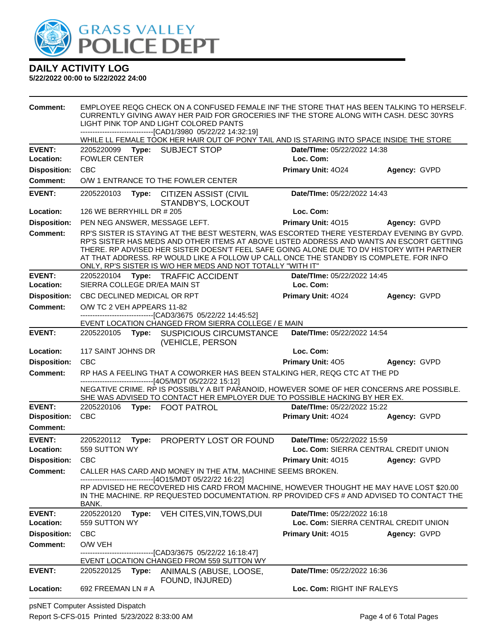

#### **5/22/2022 00:00 to 5/22/2022 24:00**

| <b>Comment:</b>     | EMPLOYEE REQG CHECK ON A CONFUSED FEMALE INF THE STORE THAT HAS BEEN TALKING TO HERSELF.<br>CURRENTLY GIVING AWAY HER PAID FOR GROCERIES INF THE STORE ALONG WITH CASH. DESC 30YRS<br>LIGHT PINK TOP AND LIGHT COLORED PANTS<br>------------------------------[CAD1/3980 05/22/22 14:32:19]                                                                                                                                                 |                                                                                                                                                                                                                                    |                             |                                       |  |
|---------------------|---------------------------------------------------------------------------------------------------------------------------------------------------------------------------------------------------------------------------------------------------------------------------------------------------------------------------------------------------------------------------------------------------------------------------------------------|------------------------------------------------------------------------------------------------------------------------------------------------------------------------------------------------------------------------------------|-----------------------------|---------------------------------------|--|
|                     |                                                                                                                                                                                                                                                                                                                                                                                                                                             | WHILE LL FEMALE TOOK HER HAIR OUT OF PONY TAIL AND IS STARING INTO SPACE INSIDE THE STORE                                                                                                                                          |                             |                                       |  |
| <b>EVENT:</b>       | 2205220099 Type: SUBJECT STOP<br>Date/TIme: 05/22/2022 14:38                                                                                                                                                                                                                                                                                                                                                                                |                                                                                                                                                                                                                                    |                             |                                       |  |
| Location:           | <b>FOWLER CENTER</b>                                                                                                                                                                                                                                                                                                                                                                                                                        |                                                                                                                                                                                                                                    | Loc. Com:                   |                                       |  |
| <b>Disposition:</b> | <b>CBC</b>                                                                                                                                                                                                                                                                                                                                                                                                                                  |                                                                                                                                                                                                                                    | Primary Unit: 4024          | Agency: GVPD                          |  |
| <b>Comment:</b>     |                                                                                                                                                                                                                                                                                                                                                                                                                                             | O/W 1 ENTRANCE TO THE FOWLER CENTER                                                                                                                                                                                                |                             |                                       |  |
| <b>EVENT:</b>       | Date/TIme: 05/22/2022 14:43<br>2205220103 Type: CITIZEN ASSIST (CIVIL<br>STANDBY'S, LOCKOUT                                                                                                                                                                                                                                                                                                                                                 |                                                                                                                                                                                                                                    |                             |                                       |  |
| Location:           | 126 WE BERRYHILL DR # 205                                                                                                                                                                                                                                                                                                                                                                                                                   |                                                                                                                                                                                                                                    | Loc. Com:                   |                                       |  |
| <b>Disposition:</b> | PEN NEG ANSWER, MESSAGE LEFT.                                                                                                                                                                                                                                                                                                                                                                                                               |                                                                                                                                                                                                                                    | Primary Unit: 4015          | Agency: GVPD                          |  |
| <b>Comment:</b>     | RP'S SISTER IS STAYING AT THE BEST WESTERN, WAS ESCORTED THERE YESTERDAY EVENING BY GVPD.<br>RP'S SISTER HAS MEDS AND OTHER ITEMS AT ABOVE LISTED ADDRESS AND WANTS AN ESCORT GETTING<br>THERE. RP ADVISED HER SISTER DOESN'T FEEL SAFE GOING ALONE DUE TO DV HISTORY WITH PARTNER<br>AT THAT ADDRESS. RP WOULD LIKE A FOLLOW UP CALL ONCE THE STANDBY IS COMPLETE. FOR INFO<br>ONLY, RP'S SISTER IS W/O HER MEDS AND NOT TOTALLY "WITH IT" |                                                                                                                                                                                                                                    |                             |                                       |  |
| <b>EVENT:</b>       | 2205220104                                                                                                                                                                                                                                                                                                                                                                                                                                  | Type: TRAFFIC ACCIDENT                                                                                                                                                                                                             | Date/TIme: 05/22/2022 14:45 |                                       |  |
| Location:           | SIERRA COLLEGE DR/EA MAIN ST                                                                                                                                                                                                                                                                                                                                                                                                                |                                                                                                                                                                                                                                    | Loc. Com:                   |                                       |  |
| <b>Disposition:</b> | CBC DECLINED MEDICAL OR RPT                                                                                                                                                                                                                                                                                                                                                                                                                 |                                                                                                                                                                                                                                    | Primary Unit: 4024          | Agency: GVPD                          |  |
| <b>Comment:</b>     | O/W TC 2 VEH APPEARS 11-82                                                                                                                                                                                                                                                                                                                                                                                                                  | -------------------------------[CAD3/3675 05/22/22 14:45:52]<br>EVENT LOCATION CHANGED FROM SIERRA COLLEGE / E MAIN                                                                                                                |                             |                                       |  |
| <b>EVENT:</b>       |                                                                                                                                                                                                                                                                                                                                                                                                                                             | 2205220105 Type: SUSPICIOUS CIRCUMSTANCE                                                                                                                                                                                           | Date/TIme: 05/22/2022 14:54 |                                       |  |
|                     |                                                                                                                                                                                                                                                                                                                                                                                                                                             | (VEHICLE, PERSON                                                                                                                                                                                                                   |                             |                                       |  |
| Location:           | 117 SAINT JOHNS DR                                                                                                                                                                                                                                                                                                                                                                                                                          |                                                                                                                                                                                                                                    | Loc. Com:                   |                                       |  |
| <b>Disposition:</b> | CBC                                                                                                                                                                                                                                                                                                                                                                                                                                         |                                                                                                                                                                                                                                    | <b>Primary Unit: 405</b>    | Agency: GVPD                          |  |
| <b>Comment:</b>     |                                                                                                                                                                                                                                                                                                                                                                                                                                             | RP HAS A FEELING THAT A COWORKER HAS BEEN STALKING HER, REQG CTC AT THE PD                                                                                                                                                         |                             |                                       |  |
|                     |                                                                                                                                                                                                                                                                                                                                                                                                                                             | -------------------------------[4O5/MDT 05/22/22 15:12]<br>NEGATIVE CRIME. RP IS POSSIBLY A BIT PARANOID, HOWEVER SOME OF HER CONCERNS ARE POSSIBLE.<br>SHE WAS ADVISED TO CONTACT HER EMPLOYER DUE TO POSSIBLE HACKING BY HER EX. |                             |                                       |  |
| <b>EVENT:</b>       | 2205220106                                                                                                                                                                                                                                                                                                                                                                                                                                  | Type: FOOT PATROL                                                                                                                                                                                                                  | Date/TIme: 05/22/2022 15:22 |                                       |  |
| <b>Disposition:</b> | <b>CBC</b>                                                                                                                                                                                                                                                                                                                                                                                                                                  |                                                                                                                                                                                                                                    | Primary Unit: 4024          | Agency: GVPD                          |  |
| Comment:            |                                                                                                                                                                                                                                                                                                                                                                                                                                             |                                                                                                                                                                                                                                    |                             |                                       |  |
| <b>EVENT:</b>       | 2205220112<br>Type:                                                                                                                                                                                                                                                                                                                                                                                                                         | PROPERTY LOST OR FOUND                                                                                                                                                                                                             | Date/TIme: 05/22/2022 15:59 |                                       |  |
| Location:           | 559 SUTTON WY                                                                                                                                                                                                                                                                                                                                                                                                                               |                                                                                                                                                                                                                                    |                             | Loc. Com: SIERRA CENTRAL CREDIT UNION |  |
| <b>Disposition:</b> | <b>CBC</b>                                                                                                                                                                                                                                                                                                                                                                                                                                  |                                                                                                                                                                                                                                    | <b>Primary Unit: 4015</b>   | Agency: GVPD                          |  |
| <b>Comment:</b>     | CALLER HAS CARD AND MONEY IN THE ATM, MACHINE SEEMS BROKEN.<br>----------------------[4O15/MDT 05/22/22 16:22]                                                                                                                                                                                                                                                                                                                              |                                                                                                                                                                                                                                    |                             |                                       |  |
|                     | BANK.                                                                                                                                                                                                                                                                                                                                                                                                                                       | RP ADVISED HE RECOVERED HIS CARD FROM MACHINE, HOWEVER THOUGHT HE MAY HAVE LOST \$20.00<br>IN THE MACHINE. RP REQUESTED DOCUMENTATION. RP PROVIDED CFS # AND ADVISED TO CONTACT THE                                                |                             |                                       |  |
| <b>EVENT:</b>       | 2205220120<br>Type:                                                                                                                                                                                                                                                                                                                                                                                                                         | VEH CITES, VIN, TOWS, DUI                                                                                                                                                                                                          | Date/TIme: 05/22/2022 16:18 |                                       |  |
| Location:           | 559 SUTTON WY                                                                                                                                                                                                                                                                                                                                                                                                                               |                                                                                                                                                                                                                                    |                             | Loc. Com: SIERRA CENTRAL CREDIT UNION |  |
| <b>Disposition:</b> | <b>CBC</b>                                                                                                                                                                                                                                                                                                                                                                                                                                  |                                                                                                                                                                                                                                    | Primary Unit: 4015          | Agency: GVPD                          |  |
| Comment:            | O/W VEH                                                                                                                                                                                                                                                                                                                                                                                                                                     |                                                                                                                                                                                                                                    |                             |                                       |  |
|                     |                                                                                                                                                                                                                                                                                                                                                                                                                                             | --------------------------------[CAD3/3675 05/22/22 16:18:47]<br>EVENT LOCATION CHANGED FROM 559 SUTTON WY                                                                                                                         |                             |                                       |  |
| <b>EVENT:</b>       | 2205220125<br>Type:                                                                                                                                                                                                                                                                                                                                                                                                                         | ANIMALS (ABUSE, LOOSE,<br>FOUND, INJURED)                                                                                                                                                                                          | Date/TIme: 05/22/2022 16:36 |                                       |  |
| Location:           | 692 FREEMAN LN # A                                                                                                                                                                                                                                                                                                                                                                                                                          |                                                                                                                                                                                                                                    | Loc. Com: RIGHT INF RALEYS  |                                       |  |

psNET Computer Assisted Dispatch Report S-CFS-015 Printed 5/23/2022 8:33:00 AM Page 4 of 6 Total Pages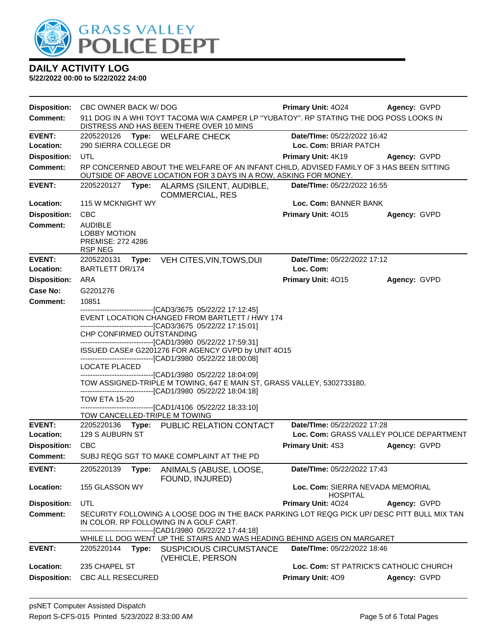

| <b>Disposition:</b>              | CBC OWNER BACK W/ DOG                                                                                                                                                               |                                                                                                                                                             | <b>Primary Unit: 4024</b>                                               | Agency: GVPD |  |
|----------------------------------|-------------------------------------------------------------------------------------------------------------------------------------------------------------------------------------|-------------------------------------------------------------------------------------------------------------------------------------------------------------|-------------------------------------------------------------------------|--------------|--|
| <b>Comment:</b>                  |                                                                                                                                                                                     | 911 DOG IN A WHI TOYT TACOMA W/A CAMPER LP "YUBATOY". RP STATING THE DOG POSS LOOKS IN<br>DISTRESS AND HAS BEEN THERE OVER 10 MINS                          |                                                                         |              |  |
| <b>EVENT:</b>                    | 2205220126 Type: WELFARE CHECK                                                                                                                                                      |                                                                                                                                                             | Date/TIme: 05/22/2022 16:42<br>Loc. Com: BRIAR PATCH                    |              |  |
| Location:<br><b>Disposition:</b> | 290 SIERRA COLLEGE DR<br>UTL                                                                                                                                                        |                                                                                                                                                             | Primary Unit: 4K19                                                      |              |  |
| <b>Comment:</b>                  |                                                                                                                                                                                     | RP CONCERNED ABOUT THE WELFARE OF AN INFANT CHILD, ADVISED FAMILY OF 3 HAS BEEN SITTING<br>OUTSIDE OF ABOVE LOCATION FOR 3 DAYS IN A ROW, ASKING FOR MONEY. |                                                                         | Agency: GVPD |  |
| <b>EVENT:</b>                    |                                                                                                                                                                                     | 2205220127 Type: ALARMS (SILENT, AUDIBLE,<br><b>COMMERCIAL, RES</b>                                                                                         | <b>Date/Time: 05/22/2022 16:55</b>                                      |              |  |
| Location:                        | 115 W MCKNIGHT WY                                                                                                                                                                   |                                                                                                                                                             | Loc. Com: BANNER BANK                                                   |              |  |
| <b>Disposition:</b>              | <b>CBC</b>                                                                                                                                                                          |                                                                                                                                                             | <b>Primary Unit: 4015</b>                                               | Agency: GVPD |  |
| <b>Comment:</b>                  | <b>AUDIBLE</b><br><b>LOBBY MOTION</b><br>PREMISE: 272 4286<br><b>RSP NEG</b>                                                                                                        |                                                                                                                                                             |                                                                         |              |  |
| <b>EVENT:</b><br>Location:       | 2205220131<br>Type:<br><b>BARTLETT DR/174</b>                                                                                                                                       | VEH CITES, VIN, TOWS, DUI                                                                                                                                   | Date/TIme: 05/22/2022 17:12<br>Loc. Com:                                |              |  |
| <b>Disposition:</b>              | ARA                                                                                                                                                                                 |                                                                                                                                                             | Primary Unit: 4015                                                      | Agency: GVPD |  |
| Case No:                         | G2201276                                                                                                                                                                            |                                                                                                                                                             |                                                                         |              |  |
| <b>Comment:</b>                  | 10851                                                                                                                                                                               |                                                                                                                                                             |                                                                         |              |  |
|                                  |                                                                                                                                                                                     | -------------------------------[CAD3/3675 05/22/22 17:12:45]<br>EVENT LOCATION CHANGED FROM BARTLETT / HWY 174                                              |                                                                         |              |  |
|                                  | CHP CONFIRMED OUTSTANDING                                                                                                                                                           | ---------------------------------[CAD3/3675 05/22/22 17:15:01]                                                                                              |                                                                         |              |  |
|                                  |                                                                                                                                                                                     | --------------------------------[CAD1/3980 05/22/22 17:59:31]<br>ISSUED CASE# G2201276 FOR AGENCY GVPD by UNIT 4O15                                         |                                                                         |              |  |
|                                  | LOCATE PLACED                                                                                                                                                                       | --------------------------------[CAD1/3980 05/22/22 18:00:08]                                                                                               |                                                                         |              |  |
|                                  |                                                                                                                                                                                     | --------------------------------[CAD1/3980 05/22/22 18:04:09]<br>TOW ASSIGNED-TRIPLE M TOWING, 647 E MAIN ST, GRASS VALLEY, 5302733180,                     |                                                                         |              |  |
|                                  | <b>TOW ETA 15-20</b>                                                                                                                                                                | --------------------------------[CAD1/3980 05/22/22 18:04:18]<br>--------------------------------[CAD1/4106 05/22/22 18:33:10]                              |                                                                         |              |  |
|                                  | TOW CANCELLED-TRIPLE M TOWING                                                                                                                                                       |                                                                                                                                                             |                                                                         |              |  |
| <b>EVENT:</b><br>Location:       | 129 S AUBURN ST                                                                                                                                                                     | 2205220136 Type: PUBLIC RELATION CONTACT                                                                                                                    | Date/TIme: 05/22/2022 17:28<br>Loc. Com: GRASS VALLEY POLICE DEPARTMENT |              |  |
| <b>Disposition:</b>              | <b>CBC</b>                                                                                                                                                                          |                                                                                                                                                             | Primary Unit: 4S3                                                       | Agency: GVPD |  |
| Comment:                         |                                                                                                                                                                                     | SUBJ REQG SGT TO MAKE COMPLAINT AT THE PD                                                                                                                   |                                                                         |              |  |
| <b>EVENT:</b>                    | 2205220139<br>Type:                                                                                                                                                                 | ANIMALS (ABUSE, LOOSE,<br>FOUND, INJURED)                                                                                                                   | Date/TIme: 05/22/2022 17:43                                             |              |  |
| Location:                        | 155 GLASSON WY                                                                                                                                                                      |                                                                                                                                                             | Loc. Com: SIERRA NEVADA MEMORIAL<br><b>HOSPITAL</b>                     |              |  |
| <b>Disposition:</b>              | UTL                                                                                                                                                                                 |                                                                                                                                                             | Primary Unit: 4024                                                      | Agency: GVPD |  |
| Comment:                         | SECURITY FOLLOWING A LOOSE DOG IN THE BACK PARKING LOT REQG PICK UP/ DESC PITT BULL MIX TAN<br>IN COLOR. RP FOLLOWING IN A GOLF CART.<br>-------------[CAD1/3980_05/22/22 17:44:18] |                                                                                                                                                             |                                                                         |              |  |
|                                  |                                                                                                                                                                                     | WHILE LL DOG WENT UP THE STAIRS AND WAS HEADING BEHIND AGEIS ON MARGARET                                                                                    |                                                                         |              |  |
| <b>EVENT:</b>                    | 2205220144 Type:                                                                                                                                                                    | <b>SUSPICIOUS CIRCUMSTANCE</b><br>(VEHICLE, PERSON                                                                                                          | Date/TIme: 05/22/2022 18:46                                             |              |  |
| Location:                        | 235 CHAPEL ST                                                                                                                                                                       |                                                                                                                                                             | Loc. Com: ST PATRICK'S CATHOLIC CHURCH                                  |              |  |
| <b>Disposition:</b>              | CBC ALL RESECURED                                                                                                                                                                   |                                                                                                                                                             | Primary Unit: 409                                                       | Agency: GVPD |  |